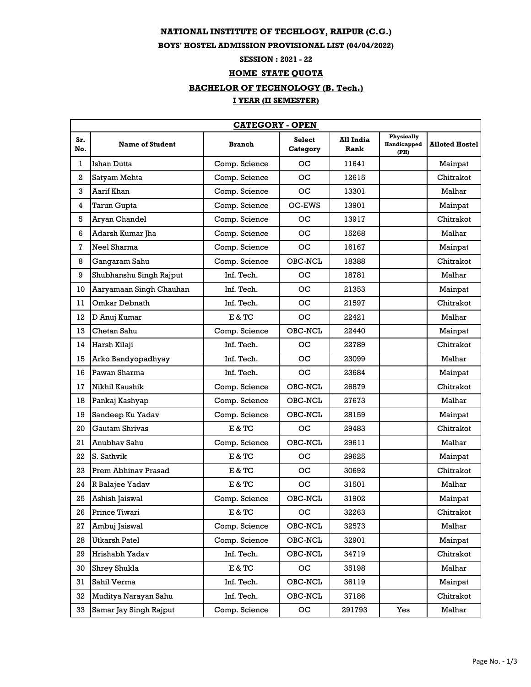#### **NATIONAL INSTITUTE OF TECHLOGY, RAIPUR (C.G.)**

### **BOYS' HOSTEL ADMISSION PROVISIONAL LIST (04/04/2022)**

## **SESSION : 2021 - 22**

#### **HOME STATE QUOTA**

# **BACHELOR OF TECHNOLOGY (B. Tech.)**

## **I YEAR (II SEMESTER)**

|            | <b>CATEGORY - OPEN</b>  |               |                           |                   |                                   |                       |  |
|------------|-------------------------|---------------|---------------------------|-------------------|-----------------------------------|-----------------------|--|
| Sr.<br>No. | <b>Name of Student</b>  | <b>Branch</b> | <b>Select</b><br>Category | All India<br>Rank | Physically<br>Handicapped<br>(PH) | <b>Alloted Hostel</b> |  |
| 1          | Ishan Dutta             | Comp. Science | ос                        | 11641             |                                   | Mainpat               |  |
| 2          | Satyam Mehta            | Comp. Science | OC                        | 12615             |                                   | Chitrakot             |  |
| 3          | Aarif Khan              | Comp. Science | OС                        | 13301             |                                   | Malhar                |  |
| 4          | Tarun Gupta             | Comp. Science | OC-EWS                    | 13901             |                                   | Mainpat               |  |
| 5          | Aryan Chandel           | Comp. Science | oс                        | 13917             |                                   | Chitrakot             |  |
| 6          | Adarsh Kumar Jha        | Comp. Science | OС                        | 15268             |                                   | Malhar                |  |
| 7          | Neel Sharma             | Comp. Science | OС                        | 16167             |                                   | Mainpat               |  |
| 8          | Ganqaram Sahu           | Comp. Science | OBC-NCL                   | 18388             |                                   | Chitrakot             |  |
| 9          | Shubhanshu Singh Rajput | Inf. Tech.    | oс                        | 18781             |                                   | Malhar                |  |
| 10         | Aaryamaan Singh Chauhan | Inf. Tech.    | OС                        | 21353             |                                   | Mainpat               |  |
| 11         | Omkar Debnath           | Inf. Tech.    | ос                        | 21597             |                                   | Chitrakot             |  |
| 12         | D Anuj Kumar            | E & TC        | oс                        | 22421             |                                   | Malhar                |  |
| 13         | Chetan Sahu             | Comp. Science | OBC-NCL                   | 22440             |                                   | Mainpat               |  |
| 14         | Harsh Kilaji            | Inf. Tech.    | oс                        | 22789             |                                   | Chitrakot             |  |
| 15         | Arko Bandyopadhyay      | Inf. Tech.    | OC                        | 23099             |                                   | Malhar                |  |
| 16         | Pawan Sharma            | Inf. Tech.    | OС                        | 23684             |                                   | Mainpat               |  |
| 17         | Nikhil Kaushik          | Comp. Science | OBC-NCL                   | 26879             |                                   | Chitrakot             |  |
| 18         | Pankaj Kashyap          | Comp. Science | OBC-NCL                   | 27673             |                                   | Malhar                |  |
| 19         | Sandeep Ku Yadav        | Comp. Science | OBC-NCL                   | 28159             |                                   | Mainpat               |  |
| 20         | Gautam Shrivas          | E & TC        | $_{\rm OC}$               | 29483             |                                   | Chitrakot             |  |
| 21         | Anubhay Sahu            | Comp. Science | OBC-NCL                   | 29611             |                                   | Malhar                |  |
| 22         | S. Sathvik              | E & TC        | OС                        | 29625             |                                   | Mainpat               |  |
| 23         | Prem Abhinav Prasad     | E & TC        | oс                        | 30692             |                                   | Chitrakot             |  |
| 24         | R Balajee Yadav         | E & TC        | OC                        | 31501             |                                   | Malhar                |  |
| 25         | Ashish Jaiswal          | Comp. Science | OBC-NCL                   | 31902             |                                   | Mainpat               |  |
| 26         | Prince Tiwari           | $E & T$ C     | OC                        | 32263             |                                   | Chitrakot             |  |
| 27         | Ambuj Jaiswal           | Comp. Science | $OBC-NCL$                 | 32573             |                                   | Malhar                |  |
| 28         | <b>Utkarsh Patel</b>    | Comp. Science | OBC-NCL                   | 32901             |                                   | Mainpat               |  |
| 29         | Hrishabh Yadav          | Inf. Tech.    | OBC-NCL                   | 34719             |                                   | Chitrakot             |  |
| 30         | Shrey Shukla            | E & TC        | OC                        | 35198             |                                   | Malhar                |  |
| 31         | Sahil Verma             | Inf. Tech.    | OBC-NCL                   | 36119             |                                   | Mainpat               |  |
| 32         | Muditya Narayan Sahu    | Inf. Tech.    | OBC-NCL                   | 37186             |                                   | Chitrakot             |  |
| 33         | Samar Jay Singh Rajput  | Comp. Science | OС                        | 291793            | Yes                               | Malhar                |  |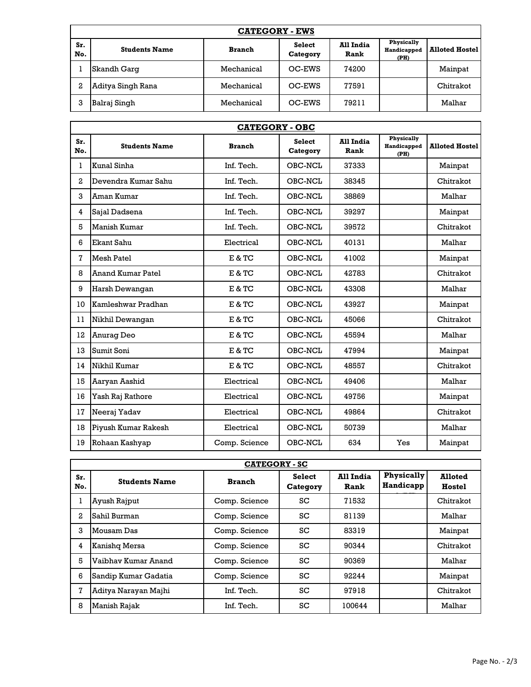| <b>CATEGORY - EWS</b> |                      |               |                           |                   |                                   |                       |
|-----------------------|----------------------|---------------|---------------------------|-------------------|-----------------------------------|-----------------------|
| Sr.<br>No.            | <b>Students Name</b> | <b>Branch</b> | <b>Select</b><br>Category | All India<br>Rank | Physically<br>Handicapped<br>(PH) | <b>Alloted Hostel</b> |
|                       | Skandh Garg          | Mechanical    | OC-EWS                    | 74200             |                                   | Mainpat               |
| 2                     | Aditya Singh Rana    | Mechanical    | OC-EWS                    | 77591             |                                   | Chitrakot             |
| 3                     | Balraj Singh         | Mechanical    | OC-EWS                    | 79211             |                                   | Malhar                |

| <b>CATEGORY - OBC</b> |                          |               |                           |                   |                                   |                       |
|-----------------------|--------------------------|---------------|---------------------------|-------------------|-----------------------------------|-----------------------|
| Sr.<br>No.            | <b>Students Name</b>     | <b>Branch</b> | <b>Select</b><br>Category | All India<br>Rank | Physically<br>Handicapped<br>(PH) | <b>Alloted Hostel</b> |
| $\mathbf{1}$          | Kunal Sinha              | Inf. Tech.    | OBC-NCL                   | 37333             |                                   | Mainpat               |
| $\mathbf{2}$          | Devendra Kumar Sahu      | Inf. Tech.    | OBC-NCL                   | 38345             |                                   | Chitrakot             |
| 3                     | Aman Kumar               | Inf. Tech.    | OBC-NCL                   | 38869             |                                   | Malhar                |
| $\overline{4}$        | Sajal Dadsena            | Inf. Tech.    | OBC-NCL                   | 39297             |                                   | Mainpat               |
| 5                     | <b>Manish Kumar</b>      | Inf. Tech.    | OBC-NCL                   | 39572             |                                   | Chitrakot             |
| 6                     | Ekant Sahu               | Electrical    | OBC-NCL                   | 40131             |                                   | Malhar                |
| 7                     | <b>Mesh Patel</b>        | E & TC        | OBC-NCL                   | 41002             |                                   | Mainpat               |
| 8                     | <b>Anand Kumar Patel</b> | E & TC        | OBC-NCL                   | 42783             |                                   | Chitrakot             |
| 9                     | Harsh Dewangan           | E & TC        | OBC-NCL                   | 43308             |                                   | Malhar                |
| 10                    | Kamleshwar Pradhan       | E & TC        | OBC-NCL                   | 43927             |                                   | Mainpat               |
| 11                    | Nikhil Dewangan          | E & TC        | OBC-NCL                   | 45066             |                                   | Chitrakot             |
| 12                    | <b>Anurag Deo</b>        | E & TC        | OBC-NCL                   | 45594             |                                   | Malhar                |
| 13                    | Sumit Soni               | E & TC        | OBC-NCL                   | 47994             |                                   | Mainpat               |
| 14                    | Nikhil Kumar             | E & TC        | OBC-NCL                   | 48557             |                                   | Chitrakot             |
| 15                    | Aaryan Aashid            | Electrical    | OBC-NCL                   | 49406             |                                   | Malhar                |
| 16                    | Yash Raj Rathore         | Electrical    | OBC-NCL                   | 49756             |                                   | Mainpat               |
| 17                    | Neeraj Yadav             | Electrical    | OBC-NCL                   | 49864             |                                   | Chitrakot             |
| 18                    | Piyush Kumar Rakesh      | Electrical    | OBC-NCL                   | 50739             |                                   | Malhar                |
| 19                    | Rohaan Kashyap           | Comp. Science | OBC-NCL                   | 634               | Yes                               | Mainpat               |

| <b>CATEGORY - SC</b> |                      |               |                           |                   |                                |                          |
|----------------------|----------------------|---------------|---------------------------|-------------------|--------------------------------|--------------------------|
| Sr.<br>No.           | <b>Students Name</b> | <b>Branch</b> | <b>Select</b><br>Category | All India<br>Rank | <b>Physically</b><br>Handicapp | <b>Alloted</b><br>Hostel |
|                      | Ayush Rajput         | Comp. Science | SC                        | 71532             |                                | Chitrakot                |
| 2                    | Sahil Burman         | Comp. Science | SC                        | 81139             |                                | Malhar                   |
| 3                    | Mousam Das           | Comp. Science | SC                        | 83319             |                                | Mainpat                  |
| 4                    | Kanishq Mersa        | Comp. Science | SC                        | 90344             |                                | Chitrakot                |
| 5                    | Vaibhay Kumar Anand  | Comp. Science | SC                        | 90369             |                                | Malhar                   |
| 6                    | Sandip Kumar Gadatia | Comp. Science | SC                        | 92244             |                                | Mainpat                  |
| 7                    | Aditya Narayan Majhi | Inf. Tech.    | SC                        | 97918             |                                | Chitrakot                |
| 8                    | Manish Rajak         | Inf. Tech.    | SC                        | 100644            |                                | Malhar                   |